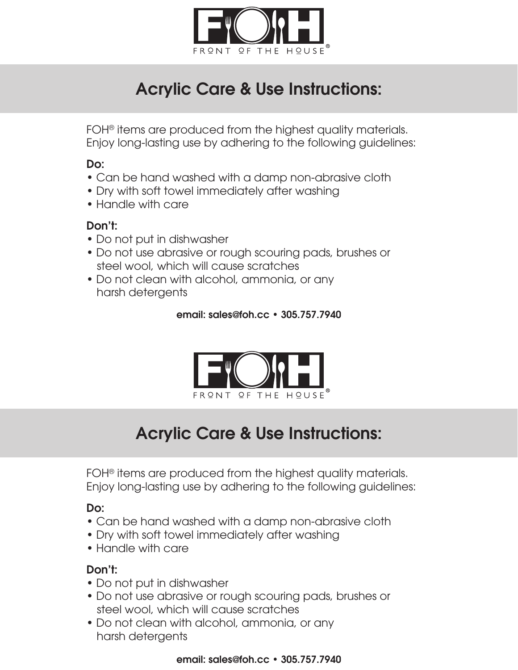

# Acrylic Care & Use Instructions:

FOH® items are produced from the highest quality materials. Enjoy long-lasting use by adhering to the following guidelines:

## Do:

- Can be hand washed with a damp non-abrasive cloth
- Dry with soft towel immediately after washing
- Handle with care

## Don't:

- Do not put in dishwasher
- Do not use abrasive or rough scouring pads, brushes or steel wool, which will cause scratches
- Do not clean with alcohol, ammonia, or any harsh detergents

#### email: sales@foh.cc • 305.757.7940



## Acrylic Care & Use Instructions:

FOH<sup>®</sup> items are produced from the highest quality materials. Enjoy long-lasting use by adhering to the following guidelines:

## Do:

- Can be hand washed with a damp non-abrasive cloth
- Dry with soft towel immediately after washing
- Handle with care

## Don't:

- Do not put in dishwasher
- Do not use abrasive or rough scouring pads, brushes or steel wool, which will cause scratches
- Do not clean with alcohol, ammonia, or any harsh detergents

#### email: sales@foh.cc • 305.757.7940